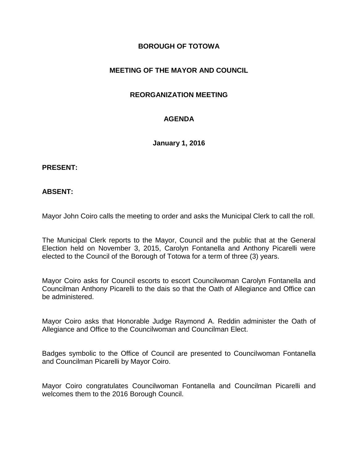# **BOROUGH OF TOTOWA**

# **MEETING OF THE MAYOR AND COUNCIL**

## **REORGANIZATION MEETING**

# **AGENDA**

**January 1, 2016**

#### **PRESENT:**

#### **ABSENT:**

Mayor John Coiro calls the meeting to order and asks the Municipal Clerk to call the roll.

The Municipal Clerk reports to the Mayor, Council and the public that at the General Election held on November 3, 2015, Carolyn Fontanella and Anthony Picarelli were elected to the Council of the Borough of Totowa for a term of three (3) years.

Mayor Coiro asks for Council escorts to escort Councilwoman Carolyn Fontanella and Councilman Anthony Picarelli to the dais so that the Oath of Allegiance and Office can be administered.

Mayor Coiro asks that Honorable Judge Raymond A. Reddin administer the Oath of Allegiance and Office to the Councilwoman and Councilman Elect.

Badges symbolic to the Office of Council are presented to Councilwoman Fontanella and Councilman Picarelli by Mayor Coiro.

Mayor Coiro congratulates Councilwoman Fontanella and Councilman Picarelli and welcomes them to the 2016 Borough Council.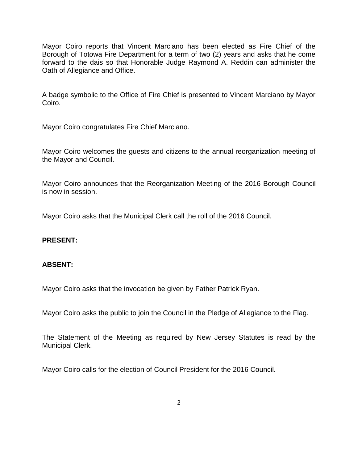Mayor Coiro reports that Vincent Marciano has been elected as Fire Chief of the Borough of Totowa Fire Department for a term of two (2) years and asks that he come forward to the dais so that Honorable Judge Raymond A. Reddin can administer the Oath of Allegiance and Office.

A badge symbolic to the Office of Fire Chief is presented to Vincent Marciano by Mayor Coiro.

Mayor Coiro congratulates Fire Chief Marciano.

Mayor Coiro welcomes the guests and citizens to the annual reorganization meeting of the Mayor and Council.

Mayor Coiro announces that the Reorganization Meeting of the 2016 Borough Council is now in session.

Mayor Coiro asks that the Municipal Clerk call the roll of the 2016 Council.

## **PRESENT:**

## **ABSENT:**

Mayor Coiro asks that the invocation be given by Father Patrick Ryan.

Mayor Coiro asks the public to join the Council in the Pledge of Allegiance to the Flag.

The Statement of the Meeting as required by New Jersey Statutes is read by the Municipal Clerk.

Mayor Coiro calls for the election of Council President for the 2016 Council.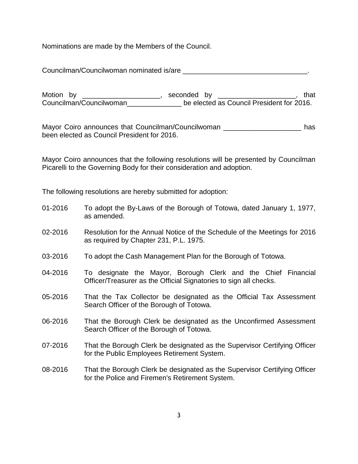Nominations are made by the Members of the Council.

Councilman/Councilwoman nominated is/are

Motion by \_\_\_\_\_\_\_\_\_\_\_\_\_\_\_\_\_\_\_\_\_, seconded by \_\_\_\_\_\_\_\_\_\_\_\_\_\_\_\_\_\_\_\_\_, that Councilman/Councilwoman\_\_\_\_\_\_\_\_\_\_\_\_\_\_ be elected as Council President for 2016.

Mayor Coiro announces that Councilman/Councilwoman \_\_\_\_\_\_\_\_\_\_\_\_\_\_\_\_\_\_\_\_\_\_\_\_\_ has been elected as Council President for 2016.

Mayor Coiro announces that the following resolutions will be presented by Councilman Picarelli to the Governing Body for their consideration and adoption.

The following resolutions are hereby submitted for adoption:

- 01-2016 To adopt the By-Laws of the Borough of Totowa, dated January 1, 1977, as amended.
- 02-2016 Resolution for the Annual Notice of the Schedule of the Meetings for 2016 as required by Chapter 231, P.L. 1975.
- 03-2016 To adopt the Cash Management Plan for the Borough of Totowa.
- 04-2016 To designate the Mayor, Borough Clerk and the Chief Financial Officer/Treasurer as the Official Signatories to sign all checks.
- 05-2016 That the Tax Collector be designated as the Official Tax Assessment Search Officer of the Borough of Totowa.
- 06-2016 That the Borough Clerk be designated as the Unconfirmed Assessment Search Officer of the Borough of Totowa.
- 07-2016 That the Borough Clerk be designated as the Supervisor Certifying Officer for the Public Employees Retirement System.
- 08-2016 That the Borough Clerk be designated as the Supervisor Certifying Officer for the Police and Firemen's Retirement System.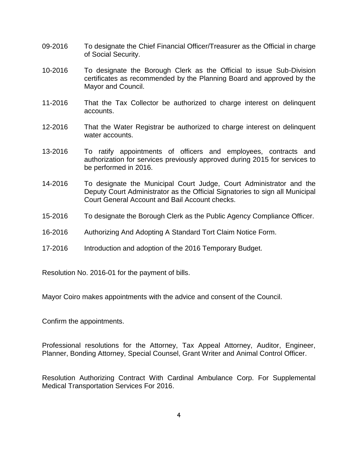- 09-2016 To designate the Chief Financial Officer/Treasurer as the Official in charge of Social Security.
- 10-2016 To designate the Borough Clerk as the Official to issue Sub-Division certificates as recommended by the Planning Board and approved by the Mayor and Council.
- 11-2016 That the Tax Collector be authorized to charge interest on delinquent accounts.
- 12-2016 That the Water Registrar be authorized to charge interest on delinquent water accounts.
- 13-2016 To ratify appointments of officers and employees, contracts and authorization for services previously approved during 2015 for services to be performed in 2016.
- 14-2016 To designate the Municipal Court Judge, Court Administrator and the Deputy Court Administrator as the Official Signatories to sign all Municipal Court General Account and Bail Account checks.
- 15-2016 To designate the Borough Clerk as the Public Agency Compliance Officer.
- 16-2016 Authorizing And Adopting A Standard Tort Claim Notice Form.
- 17-2016 Introduction and adoption of the 2016 Temporary Budget.

Resolution No. 2016-01 for the payment of bills.

Mayor Coiro makes appointments with the advice and consent of the Council.

Confirm the appointments.

Professional resolutions for the Attorney, Tax Appeal Attorney, Auditor, Engineer, Planner, Bonding Attorney, Special Counsel, Grant Writer and Animal Control Officer.

Resolution Authorizing Contract With Cardinal Ambulance Corp. For Supplemental Medical Transportation Services For 2016.